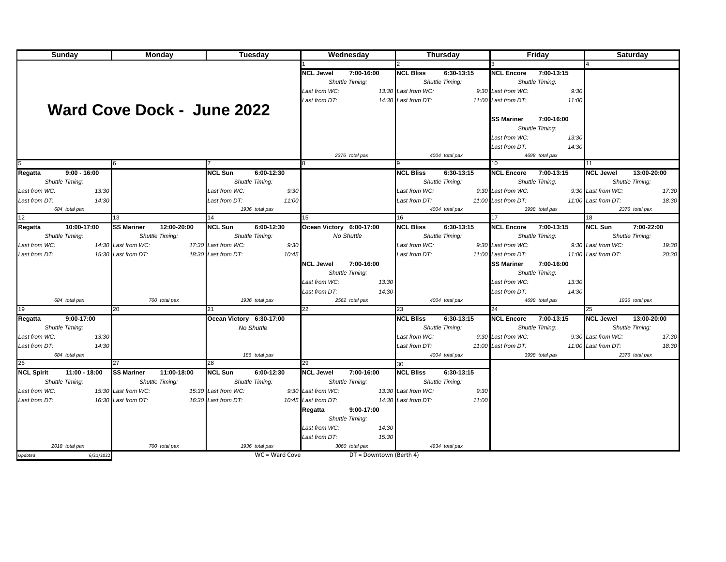| Sunday                             | <b>Monday</b>                                 | Tuesday                      | Wednesday                      |                         |                     | <b>Thursday</b> |                     | Friday          |                     | <b>Saturday</b> |
|------------------------------------|-----------------------------------------------|------------------------------|--------------------------------|-------------------------|---------------------|-----------------|---------------------|-----------------|---------------------|-----------------|
|                                    |                                               |                              |                                |                         |                     |                 |                     |                 |                     |                 |
|                                    |                                               |                              | 7:00-16:00<br><b>NCL Jewel</b> |                         | <b>NCL Bliss</b>    | 6:30-13:15      | <b>NCL Encore</b>   | 7:00-13:15      |                     |                 |
|                                    |                                               |                              | Shuttle Timing:                |                         | Shuttle Timing:     |                 |                     | Shuttle Timing: |                     |                 |
|                                    |                                               |                              | Last from WC:                  |                         | 13:30 Last from WC: |                 | 9:30 Last from WC:  | 9:30            |                     |                 |
|                                    |                                               |                              | Last from DT:                  |                         | 14:30 Last from DT: |                 | 11:00 Last from DT: | 11:00           |                     |                 |
|                                    |                                               |                              |                                |                         |                     |                 |                     |                 |                     |                 |
|                                    | Ward Cove Dock - June 2022                    |                              |                                |                         |                     |                 |                     |                 |                     |                 |
|                                    |                                               |                              |                                |                         |                     |                 | <b>SS Mariner</b>   | 7:00-16:00      |                     |                 |
|                                    |                                               |                              |                                |                         |                     |                 |                     | Shuttle Timing: |                     |                 |
|                                    |                                               |                              |                                |                         |                     |                 | Last from WC:       | 13:30           |                     |                 |
|                                    |                                               |                              |                                |                         |                     |                 | Last from DT:       | 14:30           |                     |                 |
|                                    |                                               |                              | 2376 total pax                 |                         |                     | 4004 total pax  |                     | 4698 total pax  |                     |                 |
|                                    |                                               |                              |                                |                         |                     |                 | 10                  |                 | 11                  |                 |
| Regatta<br>$9:00 - 16:00$          |                                               | <b>NCL Sun</b><br>6:00-12:30 |                                |                         | <b>NCL Bliss</b>    | 6:30-13:15      | <b>NCL Encore</b>   | 7:00-13:15      | <b>NCL Jewel</b>    | 13:00-20:00     |
| Shuttle Timing:                    |                                               | Shuttle Timing:              |                                |                         | Shuttle Timing:     |                 |                     | Shuttle Timing: |                     | Shuttle Timing: |
| Last from WC:<br>13:30             |                                               | Last from WC:<br>9:30        |                                |                         | Last from WC:       |                 | 9:30 Last from WC:  |                 | 9:30 Last from WC:  | 17:30           |
| Last from DT:<br>14:30             |                                               | Last from DT:<br>11:00       |                                |                         | Last from DT:       |                 | 11:00 Last from DT: |                 | 11:00 Last from DT: | 18:30           |
| 684 total pax                      |                                               | 1936 total pax               |                                |                         |                     | 4004 total pax  |                     | 3998 total pax  |                     | 2376 total pax  |
| 12                                 | 13                                            | 14                           | 15                             |                         | 16                  |                 | 17                  |                 | 18                  |                 |
| 10:00-17:00<br>Regatta             | <b>SS Mariner</b><br>12:00-20:00              | $6:00-12:30$<br>NCL Sun      | Ocean Victory 6:00-17:00       |                         | <b>NCL Bliss</b>    | 6:30-13:15      | <b>NCL Encore</b>   | 7:00-13:15      | <b>NCL Sun</b>      | 7:00-22:00      |
| Shuttle Timing:                    | Shuttle Timing:                               | Shuttle Timing:              | No Shuttle                     |                         | Shuttle Timing:     |                 |                     | Shuttle Timing: |                     | Shuttle Timing: |
| Last from WC:                      | 14:30 Last from WC:                           | 17:30 Last from WC:<br>9:30  |                                |                         | Last from WC:       |                 | 9:30 Last from WC:  |                 | 9:30 Last from WC:  | 19:30           |
|                                    |                                               |                              |                                |                         |                     |                 |                     |                 |                     |                 |
| Last from DT:                      | 15:30 Last from DT:                           | 18:30 Last from DT:<br>10:45 |                                |                         | Last from DT:       |                 | 11:00 Last from DT: |                 | 11:00 Last from DT: | 20:30           |
|                                    |                                               |                              | <b>NCL Jewel</b><br>7:00-16:00 |                         |                     |                 | <b>SS Mariner</b>   | 7:00-16:00      |                     |                 |
|                                    |                                               |                              | Shuttle Timing:                |                         |                     |                 |                     | Shuttle Timing: |                     |                 |
|                                    |                                               |                              | Last from WC:                  | 13:30                   |                     |                 | Last from WC:       | 13:30           |                     |                 |
|                                    |                                               |                              | Last from DT:                  | 14:30                   |                     |                 | Last from DT:       | 14:30           |                     |                 |
| 684 total pax                      | 700 total pax                                 | 1936 total pax               | 2562 total pax                 |                         |                     | 4004 total pax  |                     | 4698 total pax  |                     | 1936 total pax  |
| 19                                 | 20                                            |                              | 22                             |                         | 23                  |                 | 24                  |                 | 25                  |                 |
| Regatta<br>9:00-17:00              |                                               | Ocean Victory 6:30-17:00     |                                |                         | <b>NCL Bliss</b>    | 6:30-13:15      | <b>NCL Encore</b>   | 7:00-13:15      | <b>NCL Jewel</b>    | 13:00-20:00     |
| Shuttle Timing:                    |                                               | No Shuttle                   |                                |                         | Shuttle Timing:     |                 |                     | Shuttle Timing: |                     | Shuttle Timing: |
| Last from WC:<br>13:30             |                                               |                              |                                |                         | Last from WC:       |                 | 9:30 Last from WC:  |                 | 9:30 Last from WC:  | 17:30           |
| Last from DT:<br>14:30             |                                               |                              |                                |                         | Last from DT:       |                 | 11:00 Last from DT: |                 | 11:00 Last from DT: | 18:30           |
| 684 total pax                      |                                               | 186 total pax                |                                |                         |                     | 4004 total pax  |                     | 3998 total pax  |                     | 2376 total pax  |
| 26                                 | 27                                            | 28                           | 29                             |                         | 30                  |                 |                     |                 |                     |                 |
| <b>NCL Spirit</b><br>11:00 - 18:00 | <b>SS Mariner</b><br>$\overline{11:00-18:00}$ | <b>NCL Sun</b><br>6:00-12:30 | <b>NCL Jewel</b><br>7:00-16:00 |                         | <b>NCL Bliss</b>    | 6:30-13:15      |                     |                 |                     |                 |
| Shuttle Timing:                    | Shuttle Timing:                               | Shuttle Timing:              | Shuttle Timing:                |                         |                     | Shuttle Timing: |                     |                 |                     |                 |
| Last from WC:                      | 15:30 Last from WC:                           | 15:30 Last from WC:          | 9:30 Last from WC:             |                         | 13:30 Last from WC: | 9:30            |                     |                 |                     |                 |
| Last from DT:                      | 16:30 Last from DT:                           | 16:30 Last from DT:          | 10:45 Last from DT:            |                         | 14:30 Last from DT: | 11:00           |                     |                 |                     |                 |
|                                    |                                               |                              | Regatta<br>9:00-17:00          |                         |                     |                 |                     |                 |                     |                 |
|                                    |                                               |                              | Shuttle Timing:                |                         |                     |                 |                     |                 |                     |                 |
|                                    |                                               |                              |                                |                         |                     |                 |                     |                 |                     |                 |
|                                    |                                               |                              | Last from WC:                  | 14:30                   |                     |                 |                     |                 |                     |                 |
|                                    |                                               |                              | Last from DT:                  | 15:30                   |                     |                 |                     |                 |                     |                 |
| 2018 total pax                     | 700 total pax                                 | 1936 total pax               | 3060 total pax                 |                         |                     | 4934 total pax  |                     |                 |                     |                 |
| Updated<br>6/21/2022               |                                               | WC = Ward Cove               |                                | DT = Downtown (Berth 4) |                     |                 |                     |                 |                     |                 |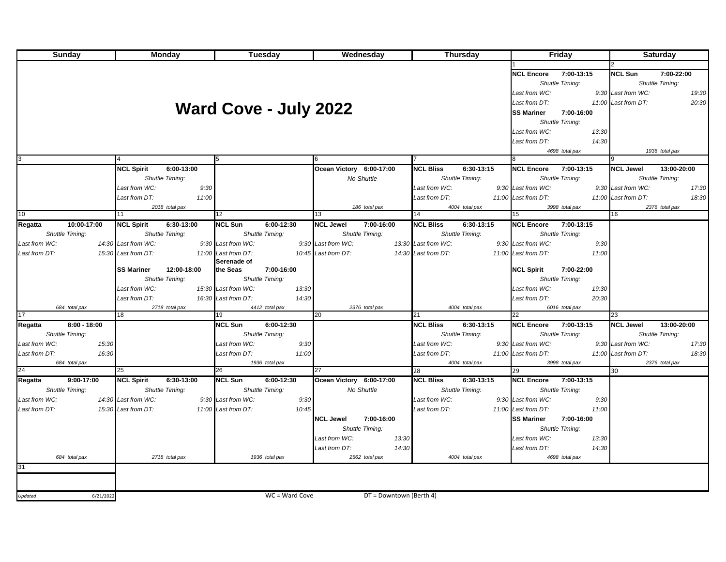| Sunday                    | <b>Monday</b>                    | Tuesday                        | Wednesday                      | <b>Thursday</b>                | <b>Friday</b>                   | <b>Saturday</b>                 |
|---------------------------|----------------------------------|--------------------------------|--------------------------------|--------------------------------|---------------------------------|---------------------------------|
|                           |                                  |                                |                                |                                |                                 |                                 |
|                           |                                  |                                |                                |                                | 7:00-13:15<br><b>NCL Encore</b> | <b>NCL Sun</b><br>7:00-22:00    |
|                           |                                  |                                |                                |                                | Shuttle Timing:                 | Shuttle Timing:                 |
|                           |                                  |                                |                                |                                | Last from WC:                   | 9:30 Last from WC:<br>19:30     |
|                           |                                  |                                |                                |                                | Last from DT:                   | 11:00 Last from DT:<br>20:30    |
|                           |                                  | <b>Ward Cove - July 2022</b>   |                                |                                | <b>SS Mariner</b><br>7:00-16:00 |                                 |
|                           |                                  |                                |                                |                                | Shuttle Timing:                 |                                 |
|                           |                                  |                                |                                |                                | Last from WC:<br>13:30          |                                 |
|                           |                                  |                                |                                |                                | Last from DT:<br>14:30          |                                 |
|                           |                                  |                                |                                |                                | 4698 total pax                  | 1936 total pax                  |
| 3                         |                                  |                                | 6                              |                                |                                 |                                 |
|                           | 6:00-13:00<br><b>NCL Spirit</b>  |                                | Ocean Victory 6:00-17:00       | <b>NCL Bliss</b><br>6:30-13:15 | <b>NCL Encore</b><br>7:00-13:15 | <b>NCL Jewel</b><br>13:00-20:00 |
|                           | Shuttle Timing:                  |                                | No Shuttle                     | Shuttle Timing:                | Shuttle Timing:                 | Shuttle Timing:                 |
|                           | Last from WC:<br>9:30            |                                |                                | Last from WC:                  | 9:30 Last from WC:              | 9:30 Last from WC:<br>17:30     |
|                           | Last from DT:<br>11:00           |                                |                                | Last from DT:                  | 11:00 Last from DT:             | 11:00 Last from DT:<br>18:30    |
|                           | 2018 total pax                   |                                | 186 total pax                  | 4004 total pax                 | 3998 total pax                  | 2376 total pax                  |
| 10                        | 11                               | 12                             | 13                             | 14                             | 15 <sup>15</sup>                | 16                              |
| Regatta<br>10:00-17:00    | 6:30-13:00<br><b>NCL Spirit</b>  | 6:00-12:30<br><b>NCL Sun</b>   | <b>NCL Jewel</b><br>7:00-16:00 | 6:30-13:15<br><b>NCL Bliss</b> | <b>NCL Encore 7:00-13:15</b>    |                                 |
| Shuttle Timing:           | Shuttle Timing:                  | Shuttle Timing:                | Shuttle Timing:                | Shuttle Timing:                | Shuttle Timing:                 |                                 |
| Last from WC:             | 14:30 Last from WC:              | 9:30 Last from WC:             | 9:30 Last from WC:             | 13:30 Last from WC:            | 9:30 Last from WC:<br>9:30      |                                 |
| Last from DT:             | 15:30 Last from DT:              | 11:00 Last from DT:            | 10:45 Last from DT:            | 14:30 Last from DT:            | 11:00 Last from DT:<br>11:00    |                                 |
|                           |                                  | Serenade of                    |                                |                                |                                 |                                 |
|                           | <b>SS Mariner</b><br>12:00-18:00 | 7:00-16:00<br>the Seas         |                                |                                | <b>NCL Spirit</b><br>7:00-22:00 |                                 |
|                           | Shuttle Timing:                  | Shuttle Timing:                |                                |                                | Shuttle Timing:                 |                                 |
|                           | Last from WC:                    | 15:30 Last from WC:<br>13:30   |                                |                                | Last from WC:<br>19:30          |                                 |
|                           | Last from DT:                    | 16:30 Last from DT:<br>14:30   |                                |                                | Last from DT:<br>20:30          |                                 |
| 684 total pax<br>17       | 2718 total pax<br>18             | 4412 total pax<br>19           | 2376 total pax<br>20           | 4004 total pax<br>21           | 6016 total pax<br>22            | 23                              |
| Regatta<br>$8:00 - 18:00$ |                                  | <b>NCL Sun</b><br>6:00-12:30   |                                | 6:30-13:15<br><b>NCL Bliss</b> | 7:00-13:15<br><b>NCL Encore</b> | 13:00-20:00<br><b>NCL Jewel</b> |
| Shuttle Timing:           |                                  | <b>Shuttle Timing:</b>         |                                | Shuttle Timing:                | Shuttle Timing:                 | Shuttle Timing:                 |
| 15:30<br>Last from WC:    |                                  | Last from WC:<br>9:30          |                                | Last from WC:                  | 9:30 Last from WC:              | 9:30 Last from WC:<br>17:30     |
| Last from DT:<br>16:30    |                                  | Last from DT:<br>11:00         |                                | Last from DT:                  | 11:00 Last from DT:             | 11:00 Last from DT:<br>18:30    |
| 684 total pax             |                                  | 1936 total pax                 |                                | 4004 total pax                 | 3998 total pax                  | 2376 total pax                  |
| 24                        | 25                               | 26                             | 27                             | 28                             | 29                              | 30                              |
| Regatta<br>9:00-17:00     | 6:30-13:00<br><b>NCL Spirit</b>  | <b>NCL Sun</b><br>$6:00-12:30$ | Ocean Victory 6:00-17:00       | <b>NCL Bliss</b><br>6:30-13:15 | NCL Encore 7:00-13:15           |                                 |
| Shuttle Timing:           | Shuttle Timing:                  | Shuttle Timing:                | No Shuttle                     | Shuttle Timing:                | Shuttle Timing:                 |                                 |
| Last from WC:             | 14:30 Last from WC:              | 9:30 Last from WC:<br>9:30     |                                | Last from WC:                  | 9:30 Last from WC:<br>9:30      |                                 |
| Last from DT:             | 15:30 Last from DT:              | 11:00 Last from DT:<br>10:45   |                                | Last from DT:                  | 11:00 Last from DT:<br>11:00    |                                 |
|                           |                                  |                                | <b>NCL Jewel</b><br>7:00-16:00 |                                | <b>SS Mariner</b><br>7:00-16:00 |                                 |
|                           |                                  |                                | Shuttle Timing:                |                                | Shuttle Timing:                 |                                 |
|                           |                                  |                                | Last from WC:<br>13:30         |                                | 13:30<br>Last from WC:          |                                 |
|                           |                                  |                                | Last from DT:<br>14:30         |                                | 14:30<br>Last from DT:          |                                 |
| 684 total pax             | 2718 total pax                   | 1936 total pax                 | 2562 total pax                 | 4004 total pax                 | 4698 total pax                  |                                 |
| 31                        |                                  |                                |                                |                                |                                 |                                 |
|                           |                                  |                                |                                |                                |                                 |                                 |
|                           |                                  |                                |                                |                                |                                 |                                 |
| Updated<br>6/21/2022      |                                  | WC = Ward Cove                 | DT = Downtown (Berth 4)        |                                |                                 |                                 |
|                           |                                  |                                |                                |                                |                                 |                                 |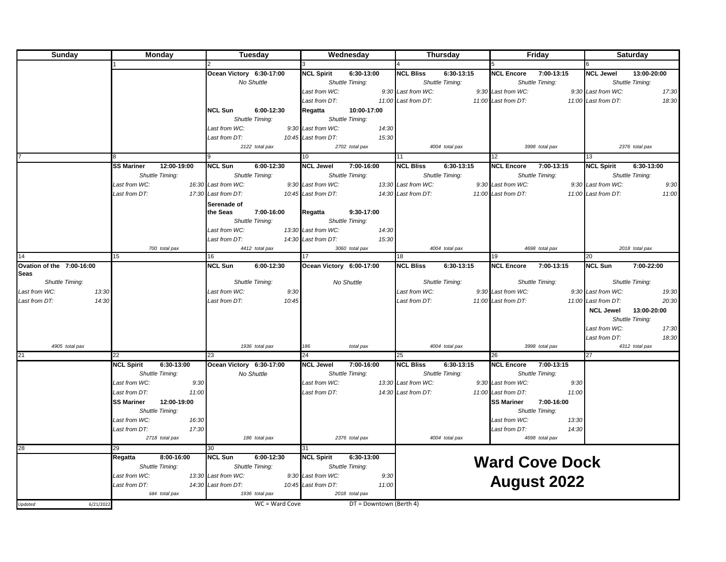| Sunday                    | Monday                                             | Tuesday                      | Wednesday                       | Thursday                                          | Friday                                             | <b>Saturday</b>                 |
|---------------------------|----------------------------------------------------|------------------------------|---------------------------------|---------------------------------------------------|----------------------------------------------------|---------------------------------|
|                           |                                                    |                              |                                 |                                                   |                                                    |                                 |
|                           |                                                    | Ocean Victory 6:30-17:00     | 6:30-13:00<br><b>NCL Spirit</b> | <b>NCL Bliss</b><br>6:30-13:15                    | 7:00-13:15<br><b>NCL Encore</b>                    | 13:00-20:00<br><b>NCL Jewel</b> |
|                           |                                                    | No Shuttle                   | Shuttle Timing:                 | Shuttle Timing:                                   | Shuttle Timing:                                    | Shuttle Timing:                 |
|                           |                                                    |                              | Last from WC:                   | 9:30 Last from WC:                                | 9:30 Last from WC:                                 | 9:30 Last from WC:<br>17:30     |
|                           |                                                    |                              | Last from DT:                   | 11:00 Last from DT:                               | 11:00 Last from DT:                                | 11:00 Last from DT:<br>18:30    |
|                           |                                                    | <b>NCL Sun</b><br>6:00-12:30 | 10:00-17:00<br>Regatta          |                                                   |                                                    |                                 |
|                           |                                                    | Shuttle Timing:              | Shuttle Timing:                 |                                                   |                                                    |                                 |
|                           |                                                    | Last from WC:                | 9:30 Last from WC:<br>14:30     |                                                   |                                                    |                                 |
|                           |                                                    | Last from DT:                | 15:30<br>10:45 Last from DT:    |                                                   |                                                    |                                 |
|                           |                                                    | 2122 total pax               | 2702 total pax                  | 4004 total pax                                    | 3998 total pax                                     | 2376 total pax                  |
|                           |                                                    |                              | 10                              |                                                   | 12                                                 | 13                              |
|                           | 12:00-19:00<br><b>SS Mariner</b>                   | <b>NCL Sun</b><br>6:00-12:30 | <b>NCL Jewel</b><br>7:00-16:00  | <b>NCL Bliss</b><br>6:30-13:15                    | <b>NCL Encore</b><br>7:00-13:15                    | <b>NCL Spirit</b><br>6:30-13:00 |
|                           | Shuttle Timing:                                    | Shuttle Timing:              | Shuttle Timing:                 | Shuttle Timing:                                   | Shuttle Timing:                                    | Shuttle Timing:                 |
|                           | Last from WC:                                      | 16:30 Last from WC:          | 9:30 Last from WC:              | 13:30 Last from WC:                               | 9:30 Last from WC:                                 | 9:30 Last from WC:<br>9:30      |
|                           | Last from DT:                                      | 17:30 Last from DT:          | 10:45 Last from DT:             | 14:30 Last from DT:                               | 11:00 Last from DT:                                | 11:00 Last from DT:<br>11:00    |
|                           |                                                    | Serenade of                  |                                 |                                                   |                                                    |                                 |
|                           |                                                    | the Seas<br>7:00-16:00       | 9:30-17:00<br>Regatta           |                                                   |                                                    |                                 |
|                           |                                                    | Shuttle Timing:              | Shuttle Timing:                 |                                                   |                                                    |                                 |
|                           |                                                    | Last from WC:                | 13:30 Last from WC:<br>14:30    |                                                   |                                                    |                                 |
|                           |                                                    | Last from DT:                | 14:30 Last from DT:<br>15:30    |                                                   |                                                    |                                 |
|                           | 700 total pax                                      | 4412 total pax               | 3060 total pax                  | 4004 total pax                                    | 4698 total pax                                     | 2018 total pax                  |
| 14                        | 15                                                 | 16                           |                                 | 18                                                | 19                                                 | 20                              |
| Ovation of the 7:00-16:00 |                                                    | <b>NCL Sun</b><br>6:00-12:30 | Ocean Victory 6:00-17:00        | <b>NCL Bliss</b><br>6:30-13:15                    | <b>NCL Encore</b><br>7:00-13:15                    | <b>NCL Sun</b><br>7:00-22:00    |
| <b>Seas</b>               |                                                    |                              |                                 |                                                   |                                                    |                                 |
| Shuttle Timing:           |                                                    | <b>Shuttle Timing:</b>       | No Shuttle                      | Shuttle Timing:                                   | Shuttle Timing:                                    | Shuttle Timing:                 |
| 13:30<br>Last from WC:    |                                                    | Last from WC:<br>9:30        |                                 | Last from WC:                                     | 9:30 Last from WC:                                 | 9:30 Last from WC:<br>19:30     |
| 14:30<br>Last from DT:    |                                                    | Last from DT:<br>10:45       |                                 | Last from DT:                                     | 11:00 Last from DT:                                | 11:00 Last from DT:<br>20:30    |
|                           |                                                    |                              |                                 |                                                   |                                                    | <b>NCL Jewel</b><br>13:00-20:00 |
|                           |                                                    |                              |                                 |                                                   |                                                    | Shuttle Timing:                 |
|                           |                                                    |                              |                                 |                                                   |                                                    | Last from WC:<br>17:30          |
|                           |                                                    |                              |                                 |                                                   |                                                    | Last from DT:<br>18:30          |
| 4905 total pax<br>21      |                                                    | 1936 total pax               | 186<br>total pax<br>24          | 4004 total pax                                    | 3998 total pax                                     | 4312 total pax<br>27            |
|                           | 22                                                 | 23                           |                                 | 25                                                | 26                                                 |                                 |
|                           | 6:30-13:00<br><b>NCL Spirit</b><br>Shuttle Timing: | Ocean Victory 6:30-17:00     | <b>NCL Jewel</b><br>7:00-16:00  | <b>NCL Bliss</b><br>6:30-13:15<br>Shuttle Timing: | <b>NCL Encore</b><br>7:00-13:15<br>Shuttle Timing: |                                 |
|                           | Last from WC:                                      | No Shuttle                   | Shuttle Timing:                 | 13:30 Last from WC:                               | 9:30 Last from WC:                                 |                                 |
|                           | 9:30                                               |                              | Last from WC:                   |                                                   | 9:30<br>11:00                                      |                                 |
|                           | Last from DT:<br>11:00                             |                              | Last from DT:                   | 14:30 Last from DT:                               | 11:00 Last from DT:                                |                                 |
|                           | <b>SS Mariner</b><br>12:00-19:00                   |                              |                                 |                                                   | <b>SS Mariner</b><br>7:00-16:00                    |                                 |
|                           | <b>Shuttle Timing:</b>                             |                              |                                 |                                                   | Shuttle Timing:                                    |                                 |
|                           | Last from WC:<br>16:30                             |                              |                                 |                                                   | Last from WC:<br>13:30                             |                                 |
|                           | Last from DT:<br>17:30                             |                              |                                 |                                                   | 14:30<br>Last from DT:                             |                                 |
|                           | 2718 total pax                                     | 186 total pax                | 2376 total pax                  | 4004 total pax                                    | 4698 total pax                                     |                                 |
| 28                        | 29                                                 | 30                           | 31                              |                                                   |                                                    |                                 |
|                           | Regatta<br>8:00-16:00                              | <b>NCL Sun</b><br>6:00-12:30 | <b>NCL Spirit</b><br>6:30-13:00 |                                                   | <b>Ward Cove Dock</b>                              |                                 |
|                           | Shuttle Timing:                                    | Shuttle Timing:              | Shuttle Timing:                 |                                                   |                                                    |                                 |
|                           | Last from WC:                                      | 13:30 Last from WC:          | 9:30 Last from WC:<br>9:30      |                                                   | <b>August 2022</b>                                 |                                 |
|                           | Last from DT:                                      | 14:30 Last from DT:          | 11:00<br>10:45 Last from DT:    |                                                   |                                                    |                                 |
|                           | 684 total pax                                      | 1936 total pax               | 2018 total pax                  |                                                   |                                                    |                                 |
| Updated<br>6/21/2022      |                                                    | WC = Ward Cove               | DT = Downtown (Berth 4)         |                                                   |                                                    |                                 |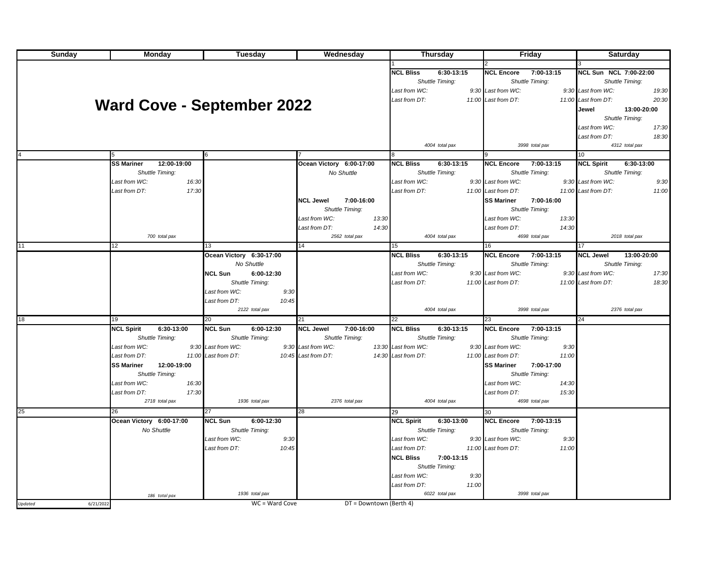| Sunday               | Monday                            | Tuesday                      | Wednesday                                 | Thursday                        | Friday                                    | Saturday                        |
|----------------------|-----------------------------------|------------------------------|-------------------------------------------|---------------------------------|-------------------------------------------|---------------------------------|
|                      |                                   |                              |                                           |                                 |                                           |                                 |
|                      |                                   |                              |                                           | <b>NCL Bliss</b><br>6:30-13:15  | <b>NCL Encore</b><br>7:00-13:15           | <b>NCL Sun NCL 7:00-22:00</b>   |
|                      |                                   |                              |                                           | Shuttle Timing:                 | Shuttle Timing:                           | Shuttle Timing:                 |
|                      |                                   |                              |                                           | Last from WC:                   | 9:30 Last from WC:                        | 9:30 Last from WC:<br>19:30     |
|                      | <b>Ward Cove - September 2022</b> |                              |                                           | Last from DT:                   | 11:00 Last from DT:                       | 20:30<br>11:00 Last from DT:    |
|                      |                                   |                              |                                           |                                 |                                           | Jewel<br>13:00-20:00            |
|                      |                                   |                              |                                           |                                 |                                           | Shuttle Timing:                 |
|                      |                                   |                              |                                           |                                 |                                           | Last from WC:<br>17:30          |
|                      |                                   |                              |                                           |                                 |                                           | 18:30<br>Last from DT:          |
|                      |                                   |                              |                                           | 4004 total pax                  | 3998 total pax                            | 4312 total pax<br>10            |
|                      | <b>SS Mariner</b><br>12:00-19:00  |                              | Ocean Victory 6:00-17:00                  | <b>NCL Bliss</b><br>6:30-13:15  | <b>NCL Encore</b><br>$7:00 - 13:15$       | <b>NCL Spirit</b><br>6:30-13:00 |
|                      | <b>Shuttle Timing:</b>            |                              | No Shuttle                                | Shuttle Timing:                 | Shuttle Timing:                           | Shuttle Timing:                 |
|                      | Last from WC:<br>16:30            |                              |                                           | Last from WC:                   | 9:30 Last from WC:                        | 9:30 Last from WC:<br>9:30      |
|                      | 17:30<br>Last from DT:            |                              |                                           | Last from DT:                   | 11:00 Last from DT:                       | 11:00<br>11:00 Last from DT:    |
|                      |                                   |                              | <b>NCL Jewel</b><br>7:00-16:00            |                                 | 7:00-16:00                                |                                 |
|                      |                                   |                              |                                           |                                 | <b>SS Mariner</b>                         |                                 |
|                      |                                   |                              | Shuttle Timing:<br>Last from WC:<br>13:30 |                                 | Shuttle Timing:<br>Last from WC:<br>13:30 |                                 |
|                      |                                   |                              | Last from DT:<br>14:30                    |                                 | Last from DT:<br>14:30                    |                                 |
|                      | 700 total pax                     |                              | 2562 total pax                            | 4004 total pax                  | 4698 total pax                            | 2018 total pax                  |
| 11                   | 12                                | 13                           | 14                                        | 15                              | 16                                        | 17                              |
|                      |                                   | Ocean Victory 6:30-17:00     |                                           | <b>NCL Bliss</b><br>6:30-13:15  | <b>NCL Encore</b><br>7:00-13:15           | <b>NCL Jewel</b><br>13:00-20:00 |
|                      |                                   | No Shuttle                   |                                           | Shuttle Timing:                 | Shuttle Timing:                           | Shuttle Timing:                 |
|                      |                                   | <b>NCL Sun</b><br>6:00-12:30 |                                           | Last from WC:                   | 9:30 Last from WC:                        | 9:30 Last from WC:<br>17:30     |
|                      |                                   | Shuttle Timing:              |                                           | Last from DT:                   | 11:00 Last from DT:                       | 18:30<br>11:00 Last from DT:    |
|                      |                                   | Last from WC:<br>9:30        |                                           |                                 |                                           |                                 |
|                      |                                   | Last from DT:<br>10:45       |                                           |                                 |                                           |                                 |
|                      |                                   | 2122 total pax               |                                           | 4004 total pax                  | 3998 total pax                            | 2376 total pax                  |
| 18                   | 19                                | 20                           | 21                                        | 22                              | 23                                        | 24                              |
|                      | <b>NCL Spirit</b><br>6:30-13:00   | <b>NCL Sun</b><br>6:00-12:30 | <b>NCL Jewel</b><br>7:00-16:00            | <b>NCL Bliss</b><br>6:30-13:15  | <b>NCL Encore</b><br>7:00-13:15           |                                 |
|                      | Shuttle Timing:                   | Shuttle Timing:              | Shuttle Timing:                           | Shuttle Timing:                 | Shuttle Timing:                           |                                 |
|                      | Last from WC:                     | 9:30 Last from WC:           | 9:30 Last from WC:                        | 13:30 Last from WC:             | 9:30 Last from WC:<br>9:30                |                                 |
|                      | Last from DT:                     | 11:00 Last from DT:          | 10:45 Last from DT:                       | 14:30 Last from DT:             | 11:00 Last from DT:<br>11:00              |                                 |
|                      | <b>SS Mariner</b><br>12:00-19:00  |                              |                                           |                                 | <b>SS Mariner</b><br>7:00-17:00           |                                 |
|                      | Shuttle Timing:                   |                              |                                           |                                 | Shuttle Timing:                           |                                 |
|                      | Last from WC:<br>16:30            |                              |                                           |                                 | Last from WC:<br>14:30                    |                                 |
|                      | Last from DT:<br>17:30            |                              |                                           |                                 | 15:30<br>Last from DT:                    |                                 |
|                      | 2718 total pax                    | 1936 total pax               | 2376 total pax                            | 4004 total pax                  | 4698 total pax                            |                                 |
| 25                   | 26                                | 27                           | 28                                        | 29                              | 30                                        |                                 |
|                      | Ocean Victory 6:00-17:00          | <b>NCL Sun</b><br>6:00-12:30 |                                           | <b>NCL Spirit</b><br>6:30-13:00 | <b>NCL Encore</b><br>7:00-13:15           |                                 |
|                      | No Shuttle                        | Shuttle Timing:              |                                           | Shuttle Timing:                 | Shuttle Timing:                           |                                 |
|                      |                                   | 9:30<br>Last from WC:        |                                           | Last from WC:                   | 9:30<br>9:30 Last from WC:                |                                 |
|                      |                                   | 10:45<br>Last from DT:       |                                           | Last from DT:                   | 11:00 Last from DT:<br>11:00              |                                 |
|                      |                                   |                              |                                           | <b>NCL Bliss</b><br>7:00-13:15  |                                           |                                 |
|                      |                                   |                              |                                           | Shuttle Timing:                 |                                           |                                 |
|                      |                                   |                              |                                           | Last from WC:<br>9:30           |                                           |                                 |
|                      |                                   |                              |                                           | Last from DT:<br>11:00          |                                           |                                 |
|                      | 186 total pax                     | 1936 total pax               |                                           | 6022 total pax                  | 3998 total pax                            |                                 |
| 6/21/2022<br>Updated |                                   | WC = Ward Cove               | DT = Downtown (Berth 4)                   |                                 |                                           |                                 |